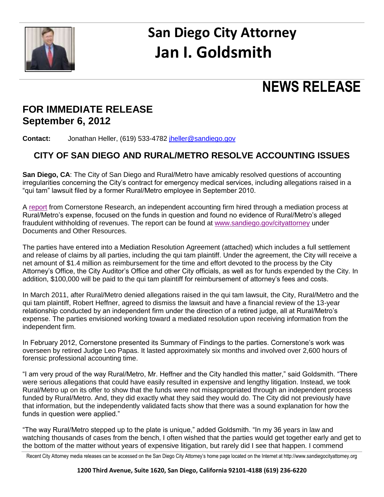

# **San Diego City Attorney Jan I. Goldsmith**

## **NEWS RELEASE**

### **FOR IMMEDIATE RELEASE September 6, 2012**

**Contact:** Jonathan Heller, (619) 533-4782 [jheller@sandiego.gov](mailto:jheller@sandiego.gov)

### **CITY OF SAN DIEGO AND RURAL/METRO RESOLVE ACCOUNTING ISSUES**

**San Diego, CA**: The City of San Diego and Rural/Metro have amicably resolved questions of accounting irregularities concerning the City's contract for emergency medical services, including allegations raised in a "qui tam" lawsuit filed by a former Rural/Metro employee in September 2010.

A [report](http://www.sandiego.gov/cityattorney/pdf/reports/cornerstone%20research%20summary%20of%20findings%20022712.pdf) from Cornerstone Research, an independent accounting firm hired through a mediation process at Rural/Metro's expense, focused on the funds in question and found no evidence of Rural/Metro's alleged fraudulent withholding of revenues. The report can be found at [www.sandiego.gov/cityattorney](http://www.sandiego.gov/cityattorney) under Documents and Other Resources.

The parties have entered into a Mediation Resolution Agreement (attached) which includes a full settlement and release of claims by all parties, including the qui tam plaintiff. Under the agreement, the City will receive a net amount of \$1.4 million as reimbursement for the time and effort devoted to the process by the City Attorney's Office, the City Auditor's Office and other City officials, as well as for funds expended by the City. In addition, \$100,000 will be paid to the qui tam plaintiff for reimbursement of attorney's fees and costs.

In March 2011, after Rural/Metro denied allegations raised in the qui tam lawsuit, the City, Rural/Metro and the qui tam plaintiff, Robert Heffner, agreed to dismiss the lawsuit and have a financial review of the 13-year relationship conducted by an independent firm under the direction of a retired judge, all at Rural/Metro's expense. The parties envisioned working toward a mediated resolution upon receiving information from the independent firm.

In February 2012, Cornerstone presented its Summary of Findings to the parties. Cornerstone's work was overseen by retired Judge Leo Papas. It lasted approximately six months and involved over 2,600 hours of forensic professional accounting time.

"I am very proud of the way Rural/Metro, Mr. Heffner and the City handled this matter," said Goldsmith. "There were serious allegations that could have easily resulted in expensive and lengthy litigation. Instead, we took Rural/Metro up on its offer to show that the funds were not misappropriated through an independent process funded by Rural/Metro. And, they did exactly what they said they would do. The City did not previously have that information, but the independently validated facts show that there was a sound explanation for how the funds in question were applied."

"The way Rural/Metro stepped up to the plate is unique," added Goldsmith. "In my 36 years in law and watching thousands of cases from the bench, I often wished that the parties would get together early and get to the bottom of the matter without years of expensive litigation, but rarely did I see that happen. I commend

Recent City Attorney media releases can be accessed on the San Diego City Attorney's home page located on the Internet at http://www.sandiegocityattorney.org